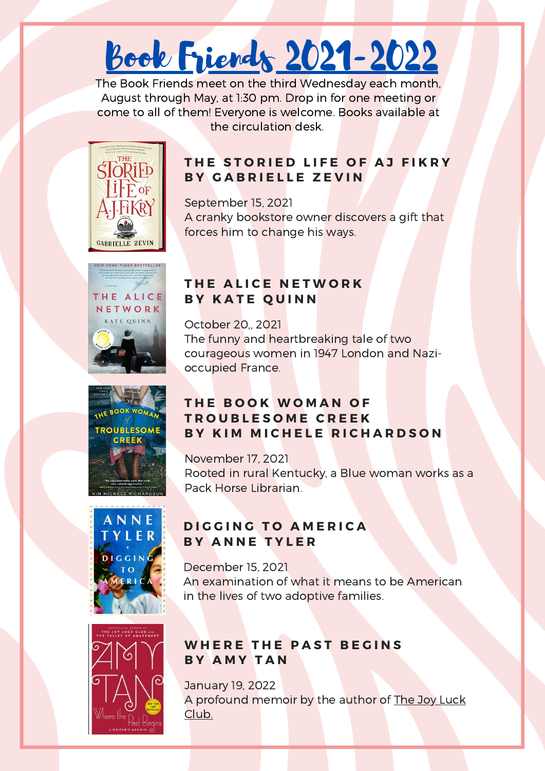# Book Friends 2021-2022

The Book Friends meet on the third Wednesday each month, August through May, at 1:30 pm. Drop in for one meeting or come to all of them! Everyone is welcome. Books available at the circulation desk.



### **T H E S T O R I E D L I F E O F A J F I K R Y B Y G A B R I E L L E Z E V I N**

September 15, 2021 A cranky bookstore owner discovers a gift that forces him to change his ways.







# **T H E A L I C E N E T W O R K B Y K A T E Q U I N N**

October 20,, 2021 The funny and heartbreaking tale of two courageous women in 1947 London and Nazioccupied France.

# **T H E B O O K W O M A N O F T R O U B L E S O M E C R E E K B Y K I M M I C H E L E R I C H A R D S O N**

November 17, 2021 Rooted in rural Kentucky, a Blue woman works as a Pack Horse Librarian.

# **D I G G I N G T O A M E R I C A B Y A N N E T Y L E R**

December 15, 2021 An examination of what it means to be American in the lives of two adoptive families.



# **WHERE THE PAST BEGINS B Y A M Y T A N**

January 19, 2022 A profound memoir by the author of The Joy Luck Club.